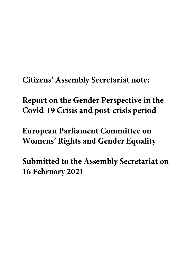**Citizens' Assembly Secretariat note:**

**Report on the Gender Perspective in the Covid-19 Crisis and post-crisis period**

**European Parliament Committee on Womens' Rights and Gender Equality**

**Submitted to the Assembly Secretariat on 16 February 2021**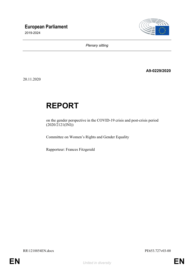

*Plenary sitting*

**A9-0229/2020**

20.11.2020

# **REPORT**

on the gender perspective in the COVID-19 crisis and post-crisis period  $(2020/2121$ (INI))

Committee on Women's Rights and Gender Equality

Rapporteur: Frances Fitzgerald

RR\1218854EN.docx PE653.727v03-00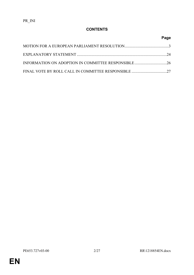# **CONTENTS**

# **Page**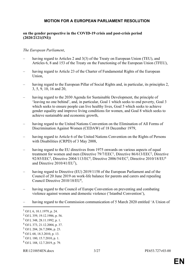## <span id="page-3-0"></span>**MOTION FOR A EUROPEAN PARLIAMENT RESOLUTION**

#### **on the gender perspective in the COVID-19 crisis and post-crisis period (2020/2121(INI))**

#### *The European Parliament*,

- having regard to Articles 2 and 3(3) of the Treaty on European Union (TEU), and Articles 6, 8 and 153 of the Treaty on the Functioning of the European Union (TFEU),
- having regard to Article 23 of the Charter of Fundamental Rights of the European Union,
- having regard to the European Pillar of Social Rights and, in particular, its principles 2, 3, 5, 9, 10, 16 and 20,
- having regard to the 2030 Agenda for Sustainable Development, the principle of 'leaving no one behind', and, in particular, Goal 1 which seeks to end poverty, Goal 3 which seeks to ensure people can live healthy lives, Goal 5 which seeks to achieve gender equality and improve living conditions for women, and Goal 8 which seeks to achieve sustainable and economic growth,
- having regard to the United Nations Convention on the Elimination of All Forms of Discrimination Against Women (CEDAW) of 18 December 1979,
- having regard to Article 6 of the United Nations Convention on the Rights of Persons with Disabilities (CRPD) of 3 May 2008,
- having regard to the EU directives from 1975 onwards on various aspects of equal treatment for women and men (Directive  $79/7/EEC<sup>1</sup>$ , Directive  $86/613/EEC<sup>2</sup>$ , Directive 92/85/EEC<sup>3</sup>, Directive 2004/113/EC<sup>4</sup>, Directive 2006/54/EC<sup>5</sup>, Directive 2010/18/EU<sup>6</sup> and Directive 2010/41/EU<sup>7</sup> ),
- having regard to Directive (EU) 2019/1158 of the European Parliament and of the Council of 20 June 2019 on work-life balance for parents and carers and repealing Council Directive 2010/18/EU<sup>8</sup>,
- having regard to the Council of Europe Convention on preventing and combating violence against women and domestic violence ('Istanbul Convention'),
- having regard to the Commission communication of 5 March 2020 entitled 'A Union of

- 5 OJ L 204, 26.7.2006, p. 23.
- 6 OJ L 68, 18.3.2010, p. 13.
- 7 OJ L 180, 15.7.2010, p. 1.
- 8 OJ L 188, 12.7.2019, p. 79.

<sup>1</sup> OJ L 6, 10.1.1979, p. 24.

<sup>2</sup> OJ L 359, 19.12.1986, p. 56.

<sup>3</sup> OJ L 348, 28.11.1992, p. 1.

<sup>4</sup> OJ L 373, 21.12.2004, p. 37.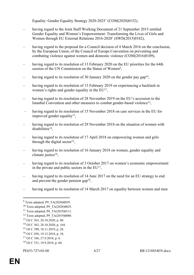Equality: Gender Equality Strategy 2020-2025' (COM(2020)0152),

- having regard to the Joint Staff Working Document of 21 September 2015 entitled Gender Equality and Women's Empowerment: Transforming the Lives of Girls and Women through EU External Relations 2016-2020' (SWD(2015)0182),
- having regard to the proposal for a Council decision of 4 March 2016 on the conclusion, by the European Union, of the Council of Europe Convention on preventing and combating violence against women and domestic violence (COM(2016)0109),
- having regard to its resolution of 13 February 2020 on the EU priorities for the 64th session of the UN Commission on the Status of Women<sup>9</sup>,
- having regard to its resolution of 30 January 2020 on the gender pay gap<sup>10</sup>,
- having regard to its resolution of 13 February 2019 on experiencing a backlash in women's rights and gender equality in the  $EU<sup>11</sup>$ ,
- having regard to its resolution of 28 November 2019 on the EU's accession to the Istanbul Convention and other measures to combat gender-based violence<sup>12</sup>,
- having regard to its resolution of 15 November 2018 on care services in the EU for improved gender equality<sup>13</sup>,
- having regard to its resolution of 29 November 2018 on the situation of women with disabilities<sup>14</sup>,
- having regard to its resolution of 17 April 2018 on empowering women and girls through the digital sector<sup>15</sup>,
- having regard to its resolution of 16 January 2018 on women, gender equality and climate justice<sup>16</sup>,
- having regard to its resolution of 3 October 2017 on women's economic empowerment in the private and public sectors in the  $EU<sup>17</sup>$ ,
- having regard to its resolution of 14 June 2017 on the need for an EU strategy to end and prevent the gender pension gap<sup>18</sup>,
- having regard to its resolution of 14 March 2017 on equality between women and men

- <sup>15</sup> OJ C 390, 18.11.2019, p. 28.
- <sup>16</sup> OJ C 458, 19.12.2018, p. 34.
- <sup>17</sup> OJ C 346, 27.9.2018, p. 6.

<sup>&</sup>lt;sup>9</sup> Texts adopted, P9\_TA(2020)0039.

<sup>10</sup> Texts adopted, P9\_TA(2020)0025.

<sup>&</sup>lt;sup>11</sup> Texts adopted, P8 TA(2019)0111.

<sup>12</sup> Texts adopted, P9\_TA(2019)0080.

<sup>13</sup> OJ C 363, 28.10.2020, p. 80.

<sup>14</sup> OJ C 363, 28.10.2020, p. 164.

<sup>18</sup> OJ C 331, 18.9.2018, p. 60.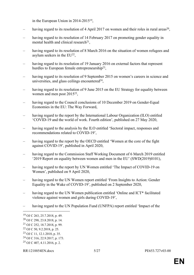in the European Union in 2014-2015<sup>19</sup>,

- having regard to its resolution of 4 April 2017 on women and their roles in rural areas<sup>20</sup>,
- having regard to its resolution of 14 February 2017 on promoting gender equality in mental health and clinical research $2<sup>1</sup>$ ,
- having regard to its resolution of 8 March 2016 on the situation of women refugees and asylum seekers in the EU<sup>22</sup>,
- having regard to its resolution of 19 January 2016 on external factors that represent hurdles to European female entrepreneurship<sup>23</sup>,
- having regard to its resolution of 9 September 2015 on women's careers in science and universities, and glass ceilings encountered $24$ ,
- having regard to its resolution of 9 June 2015 on the EU Strategy for equality between women and men post 2015<sup>25</sup>,
- having regard to the Council conclusions of 10 December 2019 on Gender-Equal Economies in the EU: The Way Forward,
- having regard to the report by the International Labour Organization (ILO) entitled 'COVID-19 and the world of work. Fourth edition', published on 27 May 2020,
- having regard to the analysis by the ILO entitled 'Sectoral impact, responses and recommendations related to COVID-19',
- having regard to the report by the OECD entitled 'Women at the core of the fight against COVID-19', published in April 2020,
- having regard to the Commission Staff Working Document of 6 March 2019 entitled '2019 Report on equality between women and men in the EU' (SWD(2019)0101),
- having regard to the report by UN Women entitled 'The Impact of COVID-19 on Women', published on 9 April 2020,
- having regard to the UN Women report entitled 'From Insights to Action: Gender Equality in the Wake of COVID-19', published on 2 September 2020,
- having regard to the UN Women publication entitled 'Online and ICT\* facilitated violence against women and girls during COVID-19',
- having regard to the UN Population Fund (UNFPA) report entitled 'Impact of the

<sup>19</sup> OJ C 263, 25.7.2018, p. 49.

<sup>20</sup> OJ C 298, 23.8.2018, p. 14.

<sup>21</sup> OJ C 252, 18.7.2018, p. 99.

<sup>22</sup> OJ C 50, 9.2.2018, p. 25.

<sup>23</sup> OJ C 11, 12.1.2018, p. 35.

<sup>24</sup> OJ C 316, 22.9.2017, p. 173.

<sup>25</sup> OJ C 407, 4.11.2016, p. 2.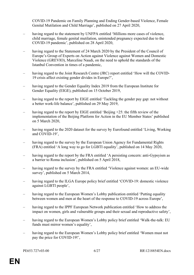COVID-19 Pandemic on Family Planning and Ending Gender-based Violence, Female Genital Mutilation and Child Marriage', published on 27 April 2020,

- having regard to the statement by UNFPA entitled 'Millions more cases of violence, child marriage, female genital mutilation, unintended pregnancy expected due to the COVID-19 pandemic', published on 28 April 2020,
- having regard to the Statement of 24 March 2020 by the President of the Council of Europe's Group of Experts on Action against Violence against Women and Domestic Violence (GREVIO), Marceline Naudi, on the need to uphold the standards of the Istanbul Convention in times of a pandemic,
- having regard to the Joint Research Centre (JRC) report entitled 'How will the COVID-19 crisis affect existing gender divides in Europe?',
- having regard to the Gender Equality Index 2019 from the European Institute for Gender Equality (EIGE), published on 15 October 2019,
- having regard to the report by EIGE entitled 'Tackling the gender pay gap: not without a better work-life balance', published on 29 May 2019,
- having regard to the report by EIGE entitled 'Beijing +25: the fifth review of the implementation of the Beijing Platform for Action in the EU Member States' published on 5 March 2020,
- having regard to the 2020 dataset for the survey by Eurofound entitled 'Living, Working and COVID-19',
- having regard to the survey by the European Union Agency for Fundamental Rights (FRA) entitled 'A long way to go for LGBTI equality', published on 14 May 2020,
- having regard to the report by the FRA entitled 'A persisting concern: anti-Gypsyism as a barrier to Roma inclusion', published on 5 April 2018,
- having regard to the survey by the FRA entitled 'Violence against women: an EU-wide survey', published on 5 March 2014,
- having regard to the ILGA Europe policy brief entitled 'COVID-19: domestic violence against LGBTI people',
- having regard to the European Women's Lobby publication entitled 'Putting equality between women and men at the heart of the response to COVID-19 across Europe',
- having regard to the IPPF European Network publication entitled 'How to address the impact on women, girls and vulnerable groups and their sexual and reproductive safety',
- having regard to the European Women's Lobby policy brief entitled 'Walk-the-talk: EU funds must mirror women's equality',
- having regard to the European Women's Lobby policy brief entitled 'Women must not pay the price for COVID-19!',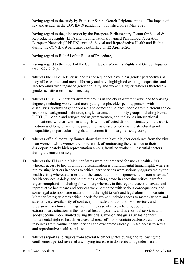- having regard to the study by Professor Sabine Oertelt-Prigione entitled 'The impact of sex and gender in the COVID-19 pandemic', published on 27 May 2020,
- having regard to the joint report by the European Parliamentary Forum for Sexual  $\&$ Reproductive Rights (EPF) and the International Planned Parenthood Federation European Network (IPPF EN) entitled 'Sexual and Reproductive Health and Rights during the COVID-19 pandemic', published on 22 April 2020,
- having regard to Rule 54 of its Rules of Procedure,
- having regard to the report of the Committee on Women's Rights and Gender Equality (A9-0229/2020),
- A. whereas the COVID-19 crisis and its consequences have clear gender perspectives as they affect women and men differently and have highlighted existing inequalities and shortcomings with regard to gender equality and women's rights; whereas therefore a gender-sensitive response is needed;
- B. whereas COVID-19 affects different groups in society in different ways and to varying degrees, including women and men, young people, older people, persons with disabilities, victims of gender-based and domestic violence, people from different socioeconomic backgrounds, children, single parents, and minority groups including Roma, LGBTQI+ people and refugee and migrant women, and it also has intersectional implications; whereas women and girls will be affected disproportionately in the short, medium and long term and the pandemic has exacerbated existing structural gender inequalities, in particular for girls and women from marginalised groups;
- C. whereas official mortality figures show that men have a higher death rate from the virus than women, while women are more at risk of contracting the virus due to their disproportionately high representation among frontline workers in essential sectors during the current crises;
- D. whereas the EU and the Member States were not prepared for such a health crisis; whereas access to health without discrimination is a fundamental human right; whereas pre-existing barriers in access to critical care services were seriously aggravated by the health crisis; whereas as a result of the cancellation or postponement of 'non-essential' health services, a delay, and sometimes barriers, arose in accessing critical care for urgent complaints, including for women; whereas, in this regard, access to sexual and reproductive healthcare and services were hampered with serious consequences, and some legal attempts were made to limit the right to safe and legal abortion in certain Member States; whereas critical needs for women include access to maternity care and safe delivery, availability of contraception, safe abortion and IVF services, and provisions for clinical management in the case of rape; whereas, due to the extraordinary situation in the national health systems, and as essential services and goods become more limited during the crisis, women and girls risk losing their fundamental right to health services; whereas efforts to contain outbreaks can divert resources from routine health services and exacerbate already limited access to sexual and reproductive health services;
- E. whereas reports and figures from several Member States during and following the confinement period revealed a worrying increase in domestic and gender-based

RR\1218854EN.docx 7/27 PE653.727v03-00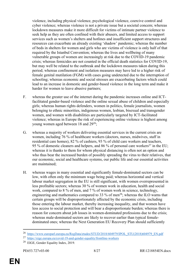violence, including physical violence, psychological violence, coercive control and cyber violence; whereas violence is not a private issue but a societal concern; whereas lockdown measures make it more difficult for victims of intimate partner violence to seek help as they are often confined with their abusers, and limited access to support services such as women's shelters and hotlines and insufficient support structures and resources can exacerbate an already existing 'shadow' pandemic; whereas the number of beds in shelters for women and girls who are victims of violence is only half of that required by the Istanbul Convention; whereas the lives and wellbeing of many vulnerable groups of women are increasingly at risk due to the COVID-19 pandemic crisis; whereas femicides are not counted in the official death statistics for COVID-19, but may well be related to the outbreak and the lockdown measures taken during this period; whereas confinement and isolation measures may have led to a higher risk of female genital mutilation (FGM) with cases going undetected due to the interruption of schooling; whereas economic and social stresses are exacerbating factors which could lead to an increase in domestic and gender-based violence in the long term and make it harder for women to leave abusive partners;

- F. whereas the greater use of the internet during the pandemic increases online and ICTfacilitated gender-based violence and the online sexual abuse of children and especially girls; whereas human rights defenders, women in politics, female journalists, women belonging to ethnic minorities, indigenous women, lesbian, bisexual and transgender women, and women with disabilities are particularly targeted by ICT-facilitated violence; whereas in Europe the risk of experiencing online violence is highest among young women aged between 18 and 29<sup>26</sup>;
- G. whereas a majority of workers delivering essential services in the current crisis are women, including 76 % of healthcare workers (doctors, nurses, midwives, staff in residential care homes), 82 % of cashiers, 93 % of child care workers and teachers, 95 % of domestic cleaners and helpers, and 86 % of personal care workers<sup>27</sup> in the EU; whereas it is thanks to them for whom physical distancing is often not an option and who thus bear the increased burden of possibly spreading the virus to their relatives, that our economic, social and healthcare systems, our public life and our essential activities are maintained;
- H. whereas wages in many essential and significantly female-dominated sectors can be low, with often only the minimum wage being paid; whereas horizontal and vertical labour market segregation in the EU is still significant, with women overrepresented in less profitable sectors; whereas 30 % of women work in education, health and social work, compared to 8 % of men, and 7 % of women work in science, technology, engineering and mathematics compared to 33 % of men<sup>28</sup>; whereas the ILO warns that certain groups will be disproportionately affected by the economic crisis, including those entering the labour market, thereby increasing inequality, and that women have less access to social protection and will bear a disproportionate burden; whereas there is reason for concern about job losses in women-dominated professions due to the crisis; whereas male-dominated sectors are likely to recover earlier than typical femaledominated ones; whereas the Next Generation EU Recovery Plan should sufficiently

<sup>&</sup>lt;sup>26</sup> https://www.europarl.europa.eu/RegData/etudes/STUD/2018/604979/IPOL STU(2018)604979 EN.pdf

<sup>&</sup>lt;sup>27</sup> <https://eige.europa.eu/covid-19-and-gender-equality/frontline-workers>

<sup>28</sup> EIGE, Gender Equality Index, 2019.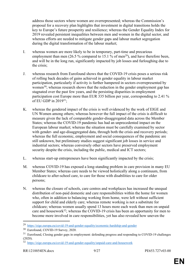address those sectors where women are overrepresented; whereas the Commission's proposal for a recovery plan highlights that investment in digital transitions holds the key to Europe's future prosperity and resilience; whereas the Gender Equality Index for 2019 revealed persistent inequalities between men and women in the digital sector, and whereas efforts are needed to mitigate gender gaps and labour market segregation during the digital transformation of the labour market;

- I. whereas women are more likely to be in temporary, part-time and precarious employment than men (26.5 % compared to 15.1 % of men<sup>29</sup>), and have therefore been, and will be in the long run, significantly impacted by job losses and furloughing due to the crisis;
- J. whereas research from Eurofound shows that the COVID-19 crisis poses a serious risk of rolling back decades of gains achieved in gender equality in labour market participation, particularly if activity is further hampered in sectors overrepresented by women<sup>30</sup>; whereas research shows that the reduction in the gender employment gap has stagnated over the past few years, and the persisting disparities in employment participation cost Europe more than EUR 335 billion per year, corresponding to 2.41 % of EU GDP in 2019<sup>31</sup>;
- K. whereas the gendered impact of the crisis is well evidenced by the work of EIGE and UN Women among others; whereas however the full impact of the crisis is difficult to measure given the lack of comparable gender-disaggregated data across the Member States; whereas the COVID-19 pandemic has had an unprecedented impact on the European labour market; whereas the situation must be carefully examined by sector with gender- and age-disaggregated data, through both the crisis and recovery periods; whereas the full economic, employment and social consequences of the pandemic are still unknown, but preliminary studies suggest significant job losses in service and industrial sectors; whereas conversely other sectors have preserved employment security despite the crisis, including the public, medical and ICT sectors;
- L. whereas start-up entrepreneurs have been significantly impacted by the crisis;
- M. whereas COVID-19 has exposed a long-standing problem in care provision in many EU Member States; whereas care needs to be viewed holistically along a continuum, from childcare to after-school care, to care for those with disabilities to care for older persons;
- N. whereas the closure of schools, care centres and workplaces has increased the unequal distribution of non-paid domestic and care responsibilities within the home for women who, often in addition to balancing working from home, were left without sufficient support for child and elderly care; whereas remote working is not a substitute for childcare; whereas women usually spend 13 hours more each week than men on unpaid care and housework<sup>32</sup>; whereas the COVID-19 crisis has been an opportunity for men to become more involved in care responsibilities, yet has also revealed how uneven the

<sup>&</sup>lt;sup>29</sup> <https://eige.europa.eu/covid-19-and-gender-equality/economic-hardship-and-gender>

<sup>30</sup> Eurofound, COVID-19 Survey, 2020.

<sup>&</sup>lt;sup>31</sup> Eurofound, Closing gender gaps in employment: defending progress and responding to COVID-19 challenges (2020).

<sup>32</sup> <https://eige.europa.eu/covid-19-and-gender-equality/unpaid-care-and-housework>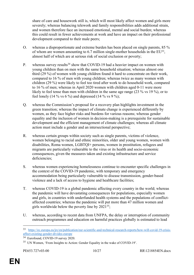share of care and housework still is, which will most likely affect women and girls more severely; whereas balancing telework and family responsibilities adds additional strain, and women therefore face an increased emotional, mental and social burden; whereas this could result in fewer achievements at work and have an impact on their professional development compared to their male peers;

- O. whereas a disproportionate and extreme burden has been placed on single parents, 85 % of whom are women amounting to  $6.7$  million single-mother households in the  $EU^{33}$ , almost half of which are at serious risk of social exclusion or poverty;
- P. whereas survey results<sup>34</sup> show that COVID-19 had a heavier impact on women with young children than on men with the same household situation; whereas almost one third (29 %) of women with young children found it hard to concentrate on their work, compared to 16 % of men with young children; whereas twice as many women with children (29 %) were likely to feel too tired after work to do household work, compared to 16 % of men; whereas in April 2020 women with children aged 0-11 were more likely to feel tense than men with children in the same age range (23 % vs 19 %), or to feel lonely (14 % vs 6 %) and depressed (14 % vs 9 %);
- Q. whereas the Commission's proposal for a recovery plan highlights investment in the green transition; whereas the impact of climate change is experienced differently by women, as they face higher risks and burdens for various reasons; whereas gender equality and the inclusion of women in decision-making is a prerequisite for sustainable development and the efficient management of climate challenges; whereas all climate action must include a gender and an intersectional perspective;
- R. whereas certain groups within society such as single parents, victims of violence, women belonging to racial and ethnic minorities, older and young women, women with disabilities, Roma women, LGBTQI+ persons, women in prostitution, refugees and migrants are particularly vulnerable to the virus or its health and socio-economic consequences, given the measures taken and existing infrastructure and service deficiencies;
- S. whereas women experiencing homelessness continue to encounter specific challenges in the context of the COVID-19 pandemic, with temporary and emergency accommodation being particularly vulnerable to disease transmission, gender-based violence and a lack of access to hygiene and healthcare facilities;
- T. whereas COVID-19 is a global pandemic affecting every country in the world; whereas the pandemic will have devastating consequences for populations, especially women and girls, in countries with underfunded health systems and the populations of conflictaffected countries; whereas the pandemic will put more than 47 million women and girls worldwide below the poverty line by  $2021^{35}$ ;
- U. whereas, according to recent data from UNFPA, the delay or interruption of community outreach programmes and education on harmful practices globally is estimated to lead

<sup>33</sup> [https://ec.europa.eu/jrc/en/publication/eur-scientific-and-technical-research-reports/how-will-covid-19-crisis](https://ec.europa.eu/jrc/en/publication/eur-scientific-and-technical-research-reports/how-will-covid-19-crisis-affect-existing-gender-divides-europe)[affect-existing-gender-divides-europe](https://ec.europa.eu/jrc/en/publication/eur-scientific-and-technical-research-reports/how-will-covid-19-crisis-affect-existing-gender-divides-europe)

<sup>34</sup> Eurofound, COVID-19 survey 2020.

<sup>35</sup> UN Women, 'From Insights to Action: Gender Equality in the wake of COVID-19'.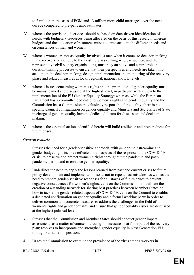to 2 million more cases of FGM and 13 million more child marriages over the next decade compared to pre-pandemic estimates;

- V. whereas the provision of services should be based on data-driven identification of needs, with budgetary resources being allocated on the basis of this research; whereas budgets and the allocation of resources must take into account the different needs and circumstances of men and women;
- W. whereas women are not as equally involved as men when it comes to decision-making in the recovery phase, due to the existing glass ceiling; whereas women, and their representative civil society organisations, must play an active and central role in decision-making processes to ensure that their perspectives and needs are taken into account in the decision-making, design, implementation and monitoring of the recovery phase and related measures at local, regional, national and EU levels;
- X. whereas issues concerning women's rights and the promotion of gender equality must be mainstreamed and discussed at the highest level, in particular with a view to the implementation of the EU Gender Equality Strategy; whereas, while the European Parliament has a committee dedicated to women's rights and gender equality and the Commission has a Commissioner exclusively responsible for equality, there is no specific Council configuration on gender equality and Ministers and Secretaries of State in charge of gender equality have no dedicated forum for discussion and decisionmaking;
- Y. whereas the essential actions identified herein will build resilience and preparedness for future crises;

#### *General remarks*

- 1. Stresses the need for a gender-sensitive approach, with gender mainstreaming and gender budgeting principles reflected in all aspects of the response to the COVID-19 crisis, to preserve and protect women's rights throughout the pandemic and postpandemic period and to enhance gender equality;
- 2. Underlines the need to apply the lessons learned from past and current crises to future policy development and implementation so as not to repeat past mistakes, as well as the need to prepare gender-sensitive responses for all stages of future crises to prevent negative consequences for women's rights; calls on the Commission to facilitate the creation of a standing network for sharing best practices between Member States on how to tackle the gender-related aspects of COVID-19; calls on the Council to establish a dedicated configuration on gender equality and a formal working party in order to deliver common and concrete measures to address the challenges in the field of women's rights and gender equality and ensure that gender equality issues are discussed at the highest political level;
- 3. Stresses that the Commission and Member States should conduct gender impact assessments as a matter of course, including for measures that form part of the recovery plan; resolves to incorporate and strengthen gender equality in Next Generation EU through Parliament's position;
- 4. Urges the Commission to examine the prevalence of the virus among workers in

```
RR\1218854EN.docx 11/27 PE653.727v03-00
```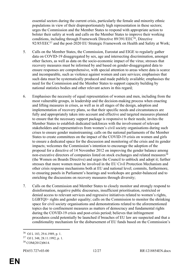essential sectors during the current crisis, particularly the female and minority ethnic populations in view of their disproportionately high representation in these sectors; urges the Commission and the Member States to respond with appropriate action to bolster their safety at work and calls on the Member States to improve their working conditions, including through Framework Directive 89/391/EEC<sup>36</sup>, Directive 92/85/EEC<sup>37</sup> and the post-2020 EU Strategic Framework on Health and Safety at Work;

- 5. Calls on the Member States, the Commission, Eurostat and EIGE to regularly gather data on COVID-19 disaggregated by sex, age and intersecting discrimination, amongst other factors, as well as data on the socio-economic impact of the virus; stresses that recovery measures must be informed by and based on gender-disaggregated data to ensure responses are comprehensive, with special attention to areas where data is scarce and incomparable, such as violence against women and care services; emphasises that such data must be systematically produced and made publicly available; emphasises the need for the Commission and the Member States to support capacity building by national statistics bodies and other relevant actors in this regard;
- 6. Emphasises the necessity of equal representation of women and men, including from the most vulnerable groups, in leadership and the decision-making process when enacting and lifting measures in crises, as well as in all stages of the design, adoption and implementation of recovery plans, so that their specific needs and circumstances are fully and appropriately taken into account and effective and targeted measures planned to ensure that the necessary support package is responsive to their needs; invites the Member States to establish dedicated taskforces with the involvement of relevant stakeholders and representatives from women's civil society organisations during such crises to ensure gender mainstreaming; calls on the national parliaments of the Member States to create committees on the impact of the COVID-19 crisis on women and girls to ensure a dedicated space for the discussion and monitoring of the crisis and its gender impacts; welcomes the Commission's intention to encourage the adoption of the proposal for a directive of 14 November 2012 on improving the gender balance among non-executive directors of companies listed on stock exchanges and related measures<sup>38</sup> (the Women on Boards Directive) and urges the Council to unblock and adopt it; further stresses that more women must be involved in the EU Civil Protection Mechanism and other crisis response mechanisms both at EU and national level; commits, furthermore, to ensuring panels in Parliament's hearings and workshops are gender-balanced and to enriching the discussions on recovery measures through diversity;
- 7. Calls on the Commission and Member States to closely monitor and strongly respond to disinformation, negative public discourses, insufficient prioritisation, restricted or denied access to relevant services and regressive initiatives related to women's rights, LGBTQI+ rights and gender equality; calls on the Commission to monitor the shrinking space for civil society organisations and demonstrations related to the aforementioned topics due to confinement measures as matters of democracy and fundamental rights during the COVID-19 crisis and post-crisis period; believes that infringement procedures could potentially be launched if breaches of EU law are suspected and that a conditionality mechanism for the disbursement of EU funds based on the Commission's

<sup>36</sup> OJ L 183, 29.6.1989, p. 1.

<sup>37</sup> OJ L 348, 28.11.1992, p. 1.

<sup>38</sup> COM(2012)0614.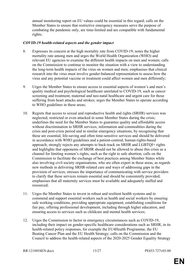annual monitoring report on EU values could be essential in this regard; calls on the Member States to ensure that restrictive emergency measures serve the purpose of combating the pandemic only, are time-limited and are compatible with fundamental rights;

#### *COVID-19 health-related aspects and the gender impact*

- 8. Expresses its concern at the high mortality rate from COVID-19; notes the higher mortality rate among men and urges the World Health Organization (WHO) and relevant EU agencies to examine the different health impacts on men and women; calls on the Commission to continue to monitor the situation with a view to understanding the long-term health impacts of the virus on women and men; emphasises that clinical research into the virus must involve gender-balanced representation to assess how the virus and any potential vaccine or treatment could affect women and men differently;
- 9. Urges the Member States to ensure access to essential aspects of women's and men's quality medical and psychological healthcare unrelated to COVID-19, such as cancer screening and treatment, maternal and neo-natal healthcare and urgent care for those suffering from heart attacks and strokes; urges the Member States to operate according to WHO guidelines in these areas;
- 10. Regrets that access to sexual and reproductive health and rights (SRHR) services was neglected, restricted or even attacked in some Member States during the crisis; underlines the need for the Member States to guarantee quality and affordable access without discrimination to SRHR services, information and commodities during the crisis and post-crisis period and in similar emergency situations, by recognising that these are essential, life-saving and often time-sensitive services and should be delivered in accordance with WHO guidelines and a patient-centred, human-rights-based approach; strongly rejects any attempts to back-track on SRHR and LGBTQI+ rights and highlights that opponents of SRHR should not be allowed to abuse this crisis as a channel for limiting women's rights, such as the right to safe abortion; calls on the Commission to facilitate the exchange of best practices among Member States while also involving civil society organisations, who are often expert in these areas, as regards new methods in delivering SRHR-related care and ways of addressing gaps in the provision of services; stresses the importance of communicating with service providers to clarify that these services remain essential and should be consistently provided; emphasises that all maternity services must be available and adequately staffed and resourced;
- 11. Urges the Member States to invest in robust and resilient health systems and to commend and support essential workers such as health and social workers by ensuring safe working conditions, providing appropriate equipment, establishing conditions for fair pay, offering professional development, including through higher education, and ensuring access to services such as childcare and mental health services;
- 12. Urges the Commission to factor in emergency circumstances such as COVID-19, including their impact on gender-specific healthcare considerations such as SRHR, in its health-related policy responses, for example the EU4Health Programme, the EU Beating Cancer Plan and the EU Health Strategy; calls on the Commission and the Council to address the health-related aspects of the 2020-2025 Gender Equality Strategy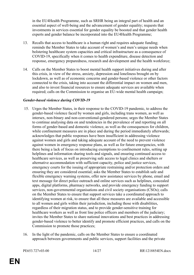in the EU4Health Programme, such as SRHR being an integral part of health and an essential aspect of well-being and the advancement of gender equality; requests that investments in services essential for gender equality be boosted and that gender health experts and gender balance be incorporated into the EU4Health Programme;

- 13. Recalls that access to healthcare is a human right and requires adequate funding; reminds the Member States to take account of women's and men's unique needs when bolstering healthcare system capacities and critical infrastructure as a consequence of COVID-19, specifically when it comes to health expenditure, disease detection and response, emergency preparedness, research and development and the health workforce;
- 14. Calls on the Member States to boost mental health support initiatives during and after this crisis, in view of the stress, anxiety, depression and loneliness brought on by lockdown, as well as of economic concerns and gender-based violence or other factors connected to the crisis, taking into account the differential impact on women and men, and also to invest financial resources to ensure adequate services are available when required; calls on the Commission to organise an EU-wide mental health campaign;

#### *Gender-based violence during COVID-19*

- 15. Urges the Member States, in their response to the COVID-19 pandemic, to address the gender-based violence faced by women and girls, including trans women, as well as intersex, non-binary and non-conventional-gendered persons; urges the Member States to continue analysing data on and tendencies in the prevalence of and reporting on all forms of gender-based and domestic violence, as well as the consequences for children, while confinement measures are in place and during the period immediately afterwards; acknowledges that public responses have been insufficient in addressing violence against women and girls and taking adequate account of the need to prevent violence against women in emergency response plans, as well as for future emergencies, with there being a lack of focus on introducing exemptions to confinement rules, setting up helplines and information sharing tools and signals, and ensuring continued access to healthcare services, as well as preserving safe access to legal clinics and shelters or alternative accommodation with sufficient capacity, police and justice services, emergency courts for the issuing of appropriate restraining and/or protection orders and ensuring they are considered essential; asks the Member States to establish safe and flexible emergency warning systems, offer new assistance services by phone, email and text message for direct police outreach and online services such as helplines, concealed apps, digital platforms, pharmacy networks, and provide emergency funding to support services, non-governmental organisations and civil society organisations (CSOs); calls on the Member States to ensure that support services take a coordinated approach to identifying women at risk, to ensure that all these measures are available and accessible to all women and girls within their jurisdiction, including those with disabilities, regardless of their migration status, and to provide gender-sensitive training for healthcare workers as well as front line police officers and members of the judiciary; invites the Member States to share national innovations and best practices in addressing gender-based violence to better identify and promote efficient practices, and calls on the Commission to promote those practices;
- 16. In the light of the pandemic, calls on the Member States to ensure a coordinated approach between governments and public services, support facilities and the private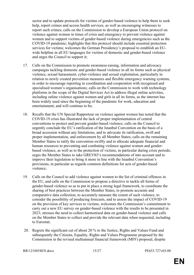sector and to update protocols for victims of gender-based violence to help them to seek help, report crimes and access health services, as well as encouraging witnesses to report such crimes; calls on the Commission to develop a European Union protocol on violence against women in times of crisis and emergency to prevent violence against women and to support victims of gender-based violence during emergencies such as the COVID-19 pandemic; highlights that this protocol should include essential protection services for victims; welcomes the German Presidency's proposal to establish an EUwide helpline in all EU languages for victims of domestic and gender-based violence and urges the Council to support it;

- 17. Calls on the Commission to promote awareness-raising, information and advocacy campaigns tackling domestic and gender-based violence in all its forms such as physical violence, sexual harassment, cyber-violence and sexual exploitation, particularly in relation to newly created prevention measures and flexible emergency warning systems, in order to encourage reporting in coordination and cooperation with recognised and specialised women's organisations; calls on the Commission to work with technology platforms in the scope of the Digital Services Act to address illegal online activities, including online violence against women and girls in all its forms, as the internet has been widely used since the beginning of the pandemic for work, education and entertainment, and will continue to be;
- 18. Recalls that the UN Special Rapporteur on violence against women has noted that the COVID-19 crisis has illustrated the lack of proper implementation of central conventions to protect and prevent gender-based violence; calls on the Council to urgently conclude the EU's ratification of the Istanbul Convention on the basis of a broad accession without any limitations, and to advocate its ratification, swift and proper implementation, and enforcement by all Member States; calls on the remaining Member States to ratify the convention swiftly and to allocate adequate financial and human resources to preventing and combating violence against women and genderbased violence, as well as to the protection of victims, in particular during crisis periods; urges the Member States to take GREVIO's recommendations of into account and to improve their legislation to bring it more in line with the Istanbul Convention's provisions, in particular as regards common definitions for acts of gender-based violence;
- 19. Calls on the Council to add violence against women to the list of criminal offences in the EU, and calls on the Commission to propose a directive to tackle all forms of gender-based violence so as to put in place a strong legal framework, to coordinate the sharing of best practices between the Member States, to promote accurate and comparative data collection, to accurately measure the extent of such violence, to consider the possibility of producing forecasts, and to assess the impact of COVID-19 on the provision of key services to victims; welcomes the Commission's commitment to carry out a new EU survey on gender-based violence with the results to be presented in 2023; stresses the need to collect harmonised data on gender-based violence and calls on the Member States to collect and provide the relevant data when requested, including to Eurostat;
- 20. Regrets the significant cut of about 20 % to the Justice, Rights and Values Fund and subsequently the Citizens, Equality, Rights and Values Programme proposed by the Commission in the revised multiannual financial framework (MFF) proposal, despite

RR\1218854EN.docx 15/27 PE653.727v03-00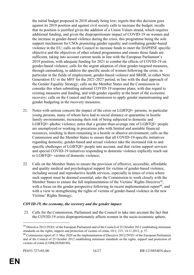the initial budget proposed in 2018 already being low; regrets that this decision goes against its 2019 position and against civil society calls to increase the budget; recalls that its position is justified given the addition of a Union Values strand, which requires additional funding, and given the disproportionate impact of COVID-19 on women and the increase in gender-based violence during the crisis, this programme being the sole support mechanism for CSOs promoting gender equality and combating gender-based violence in the EU; calls on the Council to increase funds to meet the DAPHNE specific objective and the objectives of other related programmes and ensure those funds are sufficient, taking into account current needs in line with the European Parliament's 2019 position, with adequate funding for 2021 to combat the effects of COVID-19 on gender-based violence; calls for the urgent adoption of clear gender-targeted measures, through earmarking, to address the specific needs of women following the crisis, in particular in the fields of employment, gender-based violence and SRHR, in either Next Generation EU or the MFF for the 2021-2027 period, in line with the dual approach of the Gender Equality Strategy; calls on the Member States and the Commission to consider this when submitting national COVID-19 response plans, with due regard to existing measures and funding, and with gender equality at the heart of the economic recovery; calls on the Council and the Commission to apply gender mainstreaming and gender budgeting in the recovery measures;

- 21. Notes with serious concern the impact of the crisis on LGBTQI+ persons, in particular young persons, many of whom have had to social distance or quarantine in hostile family environments, increasing their risk of being subjected to domestic and LGBTQI+-phobic violence; notes that a greater-than-average rate of LGBTQI+ people are unemployed or working in precarious jobs with limited and unstable financial resources, resulting in them remaining in a hostile or abusive environment; calls on the Commission and the Member States to ensure that all COVID-19-specific initiatives regarding domestic, gender-based and sexual violence take the increased risk to and specific challenges of LGBTQI+ people into account, and that victim support services and special COVID-19 initiatives responding to domestic violence explicitly reach out to LGBTQI+ victims of domestic violence;
- 22. Calls on the Member States to ensure the provision of effective, accessible, affordable and quality medical and psychological support for victims of gender-based violence, including sexual and reproductive health services, especially in times of crisis where such support must be deemed essential; asks the Commission to work closely with the Member States to ensure the full implementation of the Victims' Rights Directive<sup>39</sup>, with a focus on the gender perspective following its recent implementation report<sup>40</sup>, and with a view to strengthening the rights of victims of gender-based violence in the new Victims' Rights Strategy;

#### *COVID-19, the economy, the recovery and the gender impact*

 23. Calls for the Commission, Parliament and the Council to take into account the fact that the COVID-19 crisis disproportionately affects women in the socio-economic sphere,

<sup>&</sup>lt;sup>39</sup> Directive 2012/29/EU of the European Parliament and of the Council of 25 October 2012 establishing minimum standards on the rights, support and protection of victims of crime, OJ L 315, 14.11.2012, p. 57.

<sup>&</sup>lt;sup>40</sup> Commission report of 11 May 2020 on the implementation of Directive 2012/29/EU of the European Parliament and of the Council of 25 October 2012 establishing minimum standards on the rights, support and protection of victims of crime (COM(2020)0188).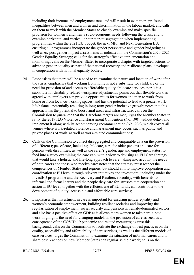including their income and employment rate, and will result in even more profound inequalities between men and women and discrimination in the labour market, and calls on them to work with the Member States to closely examine and make specific provision for women's and men's socio-economic needs following the crisis, and to examine horizontal and vertical labour market segregation when implementing programmes within the 2021 EU budget, the next MFF and Next Generation EU, ensuring all programmes incorporate the gender perspective and gender budgeting as well as ex-post gender impact assessments as indicated in the Commission's 2020-2025 Gender Equality Strategy; calls for the strategy's effective implementation and monitoring; calls on the Member States to incorporate a chapter with targeted actions to advance gender equality as part of the national recovery and resilience plans, developed in cooperation with national equality bodies;

- 24. Emphasises that there will be a need to re-examine the nature and location of work after the crisis; emphasises that working from home is not a substitute for childcare or the need for provision of and access to affordable quality childcare services, nor is it a substitute for disability-related workplace adjustments; points out that flexible work as agreed with employers can provide opportunities for women and men to work from home or from local co-working spaces, and has the potential to lead to a greater worklife balance, potentially resulting in long-term gender-inclusive growth; notes that this approach has the potential to boost rural areas and infrastructure; calls on the Commission to guarantee that the Barcelona targets are met; urges the Member States to ratify the 2019 ILO Violence and Harassment Convention (No. 190) without delay, and implement it along with its accompanying recommendation (No. 206), which covers all venues where work-related violence and harassment may occur, such as public and private places of work, as well as work-related communications;
- 25. Calls on the Commission to collect disaggregated and comparable data on the provision of different types of care, including childcare, care for older persons and care for persons with disabilities, as well as the carer's gender, age and employment status, to feed into a study examining the care gap, with a view to devising an EU Care Strategy that would take a holistic and life-long approach to care, taking into account the needs of both carers and those who receive care; notes that the strategy must respect the competences of Member States and regions, but should aim to improve cooperation and coordination at EU level through relevant initiatives and investment, including under the InvestEU programme and the Recovery and Resilience Facility, with benefits for informal and formal carers and the people they care for; stresses that cooperation and action at EU level, together with the efficient use of EU funds, can contribute to the development of quality, accessible and affordable care services;
- 26. Emphasises that investment in care is important for ensuring gender equality and women's economic empowerment, building resilient societies and improving the regularisation of employment, social security and pensions in female-dominated sectors, and also has a positive effect on GDP as it allows more women to take part in paid work; highlights the need for changing models in the provision of care as seen as a consequence of the COVID-19 pandemic and related measures; against this background, calls on the Commission to facilitate the exchange of best practices on the quality, accessibility and affordability of care services, as well as the different models of care services; urges the Commission to examine the situation of informal carers and to share best practices on how Member States can regularise their work; calls on the

RR\1218854EN.docx 17/27 PE653.727v03-00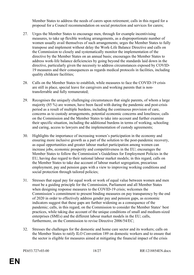Member States to address the needs of carers upon retirement; calls in this regard for a proposal for a Council recommendation on social protection and services for carers;

- 27. Urges the Member States to encourage men, through for example incentivising measures, to take up flexible working arrangements, as a disproportionate number of women usually avail themselves of such arrangements; urges the Member States to fully transpose and implement without delay the Work-Life Balance Directive and calls on the Commission to closely and systematically monitor the implementation of the directive by the Member States on an annual basis; encourages the Member States to address work-life balance deficiencies by going beyond the standards laid down in the directive, particularly given the necessity to address circumstances exposed by COVID-19 measures and their consequences as regards medical protocols in facilities, including quality childcare facilities;
- 28. Calls on the Member States to establish, while measures to face the COVID-19 crisis are still in place, special leave for caregivers and working parents that is nontransferrable and fully remunerated;
- 29. Recognises the uniquely challenging circumstances that single parents, of whom a large majority (85 %) are women, have been faced with during the pandemic and post-crisis period as a result of multiple burdens, including the continuous provision of care, concerns as to custody arrangements, potential economic concerns and loneliness; calls on the Commission and the Member States to take into account and further examine their specific situation, including the additional burdens in terms of working, schooling and caring, access to lawyers and the implementation of custody agreements;
- 30. Highlights the importance of increasing women's participation in the economy and ensuring more inclusive growth as a part of the solution to the post-pandemic recovery, as equal opportunities and greater labour market participation among women can increase jobs, economic prosperity and competitiveness in the EU; encourages the Member States to follow the Commission's Guidelines for Employment Policies in the EU, having due regard to their national labour market models; in this regard, calls on the Member States to take due account of labour market segregation, precarious employment, pay and pension gaps with a view to improving working conditions and social protection through tailored policies;
- 31. Stresses that equal pay for equal work or work of equal value between women and men must be a guiding principle for the Commission, Parliament and all Member States when designing response measures to the COVID-19 crisis; welcomes the Commission's commitment to present binding measures on pay transparency by the end of 2020 in order to effectively address gender pay and pension gaps, as economic indicators suggest that these gaps are further widening as a consequence of the pandemic; calls, in this regard, on the Commission to consider the Member States' best practices, while taking due account of the unique conditions of small and medium-sized enterprises (SMEs) and the different labour market models in the EU; calls, furthermore, on the Commission to revise Directive 2006/54/EC;
- 32. Stresses the challenges for the domestic and home care sector and its workers; calls on the Member States to ratify ILO Convention 189 on domestic workers and to ensure that the sector is eligible for measures aimed at mitigating the financial impact of the crisis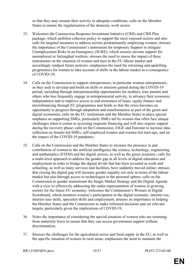so that they may resume their activity in adequate conditions; calls on the Member States to ensure the regularisation of the domestic work sector;

- 33. Welcomes the Coronavirus Response Investment Initiative (CRII) and CRII Plus package, which mobilise cohesion policy to support the most exposed sectors and also calls for targeted measures to address sectors predominantly employing women; stresses the importance of the Commission's instrument for temporary Support to mitigate Unemployment Risks in an Emergency (SURE), which ensures income support for unemployed or furloughed workers; stresses the need to assess the impact of these instruments on the situation of women and men in the EU labour market and accordingly readjust future policies; emphasises the need for retraining and upskilling programmes for women to take account of shifts in the labour market as a consequence of COVID-19;
- 34. Calls on the Commission to support entrepreneurs, in particular women entrepreneurs, as they seek to develop and build on skills or interests gained during the COVID-19 period, including through entrepreneurship opportunities for mothers, lone parents and others who less frequently engage in entrepreneurial activity, to advance their economic independence and to improve access to and awareness of loans, equity finance and microfinancing through EU programmes and funds so that the crisis becomes an opportunity to progress through adaptation and transformation as part of the green and digital economies; calls on the EU institutions and the Member States to place special emphasis on supporting SMEs, particularly SMEs led by women that often face unique challenges when it comes to accessing requisite financing and will also require support during the recovery phase; calls on the Commission, EIGE and Eurostat to increase data collection on female-led SMEs, self-employed women and women-led start-ups, and on the impact of the COVID-19 pandemic;
- 35. Calls on the Commission and the Member States to increase the presence in and contribution of women to the artificial intelligence the science, technology, engineering and mathematics (STEM) and the digital sectors, as well as the green economy; calls for a multi-level approach to address the gender gap in all levels of digital education and employment in order to bridge the digital divide that has been revealed as work and schooling, as well as many services and facilities, have suddenly moved online; stresses that closing the digital gap will increase gender equality not only in terms of the labour market but also through access to technologies in the personal sphere; calls on the Commission to gender mainstream the Single Market Strategy and the Digital Agenda with a view to effectively addressing the under-representation of women in growing sectors for the future EU economy; welcomes the Commission's Women in Digital Scoreboard, which monitors women's participation in the digital economy, internet use, internet user skills, specialist skills and employment; stresses its importance in helping the Member States and the Commission to make informed decisions and set relevant targets, particularly given the implications of COVID-19;
- 36. Notes the importance of considering the special situation of women who are returning from maternity leave to ensure that they can access government support without discrimination;
- 37. Stresses the challenges for the agricultural sector and food supply in the EU, as well as the specific situation of women in rural areas; emphasises the need to maintain the

RR\1218854EN.docx 19/27 PE653.727v03-00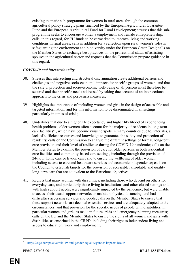existing thematic sub-programme for women in rural areas through the common agricultural policy strategic plans financed by the European Agricultural Guarantee Fund and the European Agricultural Fund for Rural Development; stresses that this subprogramme seeks to encourage women's employment and female entrepreneurship; calls, in this regard, for EU funds to be earmarked to improve living and working conditions in rural areas; calls in addition for a reflection upon rural women's roles in safeguarding the environment and biodiversity under the European Green Deal; calls on the Member States to exchange best practices on the professional status of assisting spouses in the agricultural sector and requests that the Commission prepare guidance in this regard;

#### *COVID-19 and intersectionality*

- 38. Stresses that intersecting and structural discrimination create additional barriers and challenges and negative socio-economic impacts for specific groups of women, and that the safety, protection and socio-economic well-being of all persons must therefore be secured and their specific needs addressed by taking due account of an intersectional approach to the crisis and post-crisis measures;
- 39. Highlights the importance of including women and girls in the design of accessible and targeted information, and for this information to be disseminated in all settings, particularly in times of crisis;
- 40. Underlines that due to a higher life expectancy and higher likelihood of experiencing health problems, older women often account for the majority of residents in long-term care facilities<sup>41</sup>, which have become virus hotspots in many countries due to, inter alia, a lack of sufficient resources and knowledge to guarantee the safety and protection of residents; calls on the Commission to analyse the different settings of formal, long-term care provision and their level of resilience during the COVID-19 pandemic; calls on the Member States to examine the provision of care for older persons in both residential care facilities and community-based care settings, including through the provision of 24-hour home care or live-in care, and to ensure the wellbeing of older women, including access to care and healthcare services and economic independence; calls on the Council to establish targets for the provision of accessible, affordable and quality long-term care that are equivalent to the Barcelona objectives;
- 41. Regrets that many women with disabilities, including those who depend on others for everyday care, and particularly those living in institutions and other closed settings and with high support needs, were significantly impacted by the pandemic, but were unable to access their usual support networks or maintain physical distancing, and had difficulties accessing services and goods; calls on the Member States to ensure that these support networks are deemed essential services and are adequately adapted to the circumstances, and that provision for the specific needs of people with disabilities, in particular women and girls, is made in future crisis and emergency planning measures; calls on the EU and the Member States to ensure the rights of all women and girls with disabilities as enshrined in the CRPD, including their right to independent living and access to education, work and employment;

<sup>41</sup> <https://eige.europa.eu/covid-19-and-gender-equality/gender-impacts-health>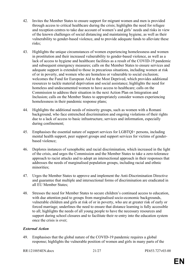- 42. Invites the Member States to ensure support for migrant women and men is provided through access to critical healthcare during the crisis; highlights the need for refugee and reception centres to take due account of women's and girls' needs and risks in view of the known challenges of social distancing and maintaining hygiene, as well as their vulnerability to gender-based violence, and to provide adequate funds to alleviate these risks;
- 43. Highlights the unique circumstances of women experiencing homelessness and women in prostitution and their increased vulnerability to gender-based violence, as well as a lack of access to hygiene and healthcare facilities as a result of the COVID-19 pandemic and subsequent emergency measures; calls on the Member States to ensure services and adequate support is extended to those in precarious situations, including women at risk of or in poverty, and women who are homeless or vulnerable to social exclusion; welcomes the Fund for European Aid to the Most Deprived, which provides additional resources to tackle material deprivation and social assistance; highlights the need for homeless and undocumented women to have access to healthcare; calls on the Commission to address their situation in the next Action Plan on Integration and Inclusion; calls on the Member States to appropriately consider women experiencing homelessness in their pandemic response plans;
- 44. Highlights the additional needs of minority groups, such as women with a Romani background, who face entrenched discrimination and ongoing violations of their rights due to a lack of access to basic infrastructure, services and information, especially during confinement;
- 45. Emphasises the essential nature of support services for LGBTQI+ persons, including mental health support, peer support groups and support services for victims of genderbased violence;
- 46. Deplores instances of xenophobic and racial discrimination, which increased in the light of the crisis, and urges the Commission and the Member States to take a zero-tolerance approach to racist attacks and to adopt an intersectional approach in their responses that addresses the needs of marginalised population groups, including racial and ethnic minorities;
- 47. Urges the Member States to approve and implement the Anti-Discrimination Directive and guarantee that multiple and intersectional forms of discrimination are eradicated in all EU Member States;
- 48. Stresses the need for Member States to secure children's continued access to education, with due attention paid to groups from marginalised socio-economic backgrounds, vulnerable children and girls at risk of or in poverty, who are at greater risk of early or forced marriage; underlines the need to ensure that distance learning is fully accessible to all; highlights the needs of all young people to have the necessary resources and support during school closures and to facilitate their re-entry into the education system once the crisis is over;

#### *External Action*

- 49. Emphasises that the global nature of the COVID-19 pandemic requires a global response; highlights the vulnerable position of women and girls in many parts of the
- RR\1218854EN.docx 21/27 PE653.727v03-00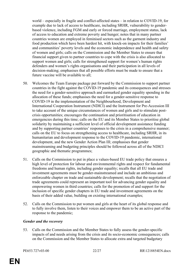world – especially in fragile and conflict-affected states – in relation to COVID-19, for example due to lack of access to healthcare, including SRHR, vulnerability to genderbased violence, including FGM and early or forced marriage, employment status, lack of access to education and extreme poverty and hunger; notes that in many partner countries women are employed in feminised sectors such as the garment industry and food production which have been hardest hit, with knock-on impacts for their families' and communities' poverty levels and the economic independence and health and safety of women and girls; calls on the Commission and the Member States to ensure that financial support given to partner countries to cope with the crisis is also allocated to support women and girls; calls for strengthened support for women's human rights defenders and women's rights organisations and their participation in all levels of decision-making; emphasises that all possible efforts must be made to ensure that a future vaccine will be available to all;

- 50. Welcomes the Team Europe package put forward by the Commission to support partner countries in the fight against the COVID-19 pandemic and its consequences and stresses the need for a gender-sensitive approach and earmarked gender equality spending in the allocation of these funds; emphasises the need for a gender-sensitive response to COVID-19 in the implementation of the Neighbourhood, Development and International Cooperation Instrument (NDICI) and the Instrument for Pre-Accession III to take account of the unique circumstances of women and girls and to stimulate postcrisis opportunities; encourages the continuation and prioritisation of education in emergencies during this time; calls on the EU and its Member States to prioritise global solidarity by maintaining a sufficient level of official development assistance funding and by supporting partner countries' responses to the crisis in a comprehensive manner; calls on the EU to focus on strengthening access to healthcare, including SRHR, in its humanitarian and development response to the COVID-19 pandemic, international development, and the new Gender Action Plan III; emphasises that gender mainstreaming and budgeting principles should be followed across all of the NDICI geographic and thematic programmes;
- 51. Calls on the Commission to put in place a values-based EU trade policy that ensures a high level of protection for labour and environmental rights and respect for fundamental freedoms and human rights, including gender equality; recalls that all EU trade and investment agreements must be gender-mainstreamed and include an ambitious and enforceable chapter on trade and sustainable development; recalls that the negotiation of trade agreements could represent an important tool for advancing gender equality and empowering women in third countries; calls for the promotion of and support for the inclusion of specific gender chapters in EU trade and investment agreements on the basis of their added value, building on existing international examples;
- 52. Calls on the Commission to put women and girls at the heart of its global response and to fully involve them, listen to their voices and empower them to be an active part of the response to the pandemic;

#### *Gender and the recovery*

53. Calls on the Commission and the Member States to fully assess the gender-specific impacts of and needs arising from the crisis and its socio-economic consequences; calls on the Commission and the Member States to allocate extra and targeted budgetary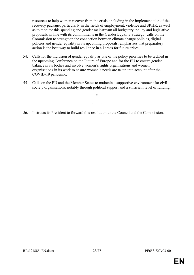resources to help women recover from the crisis, including in the implementation of the recovery package, particularly in the fields of employment, violence and SRHR, as well as to monitor this spending and gender mainstream all budgetary, policy and legislative proposals, in line with its commitments in the Gender Equality Strategy; calls on the Commission to strengthen the connection between climate change policies, digital policies and gender equality in its upcoming proposals; emphasises that preparatory action is the best way to build resilience in all areas for future crises;

- 54. Calls for the inclusion of gender equality as one of the policy priorities to be tackled in the upcoming Conference on the Future of Europe and for the EU to ensure gender balance in its bodies and involve women's rights organisations and women organisations in its work to ensure women's needs are taken into account after the COVID-19 pandemic;
- 55. Calls on the EU and the Member States to maintain a supportive environment for civil society organisations, notably through political support and a sufficient level of funding;

 $\circ$  $\circ$   $\circ$ 

56. Instructs its President to forward this resolution to the Council and the Commission.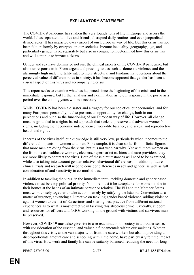## <span id="page-24-0"></span>**EXPLANATORY STATEMENT**

The COVID-19 pandemic has shaken the very foundations of life in Europe and across the world. It has separated families and friends, disrupted daily routines and even jeopardised democracies. It has impacted every aspect of our European way of life. But this crisis has not been felt uniformly by everyone in our societies. Income inequality, geography, age, and particularly gender have, separately but also in conjunction, determined how this crisis has and will continue to impact citizens.

Gender and sex have dominated not just the clinical aspects of the COVID-19 pandemic, but also our response to it. From urgent and pressing issues such as domestic violence and the alarmingly high male mortality rate, to more structural and fundamental questions about the perceived value of different roles in society, it has become apparent that gender has been a crucial aspect of this virus and accompanying crisis.

This report seeks to examine what has happened since the beginning of the crisis and in the immediate response, but further analysis and examination as to our response in the post-crisis period over the coming years will be necessary.

While COVID-19 has been a disaster and a tragedy for our societies, our economies, and for many Europeans personally, it also presents an opportunity for change, both in our perceptions and but also the functioning of our European way of life. However, all change must be grounded in a rights-based approach that seeks to preserve and advance women's rights, including their economic independence, work-life balance, and sexual and reproductive health and rights.

In terms of the virus itself, our knowledge is still very low, particularly when it comes to the differential impacts on women and men. For example, it is clear so far from official figures that more men are dying from the virus, but it is not yet clear why. Yet with more women on the frontline as healthcare workers, cleaners, supermarket cashiers and care providers, they are more likely to contract the virus. Both of these circumstances will need to be examined, while also taking into account gender-relative behavioural differences. In addition, future clinical trials and research will need to consider differences in sex and gender, as well as full consideration of and sensitivity to co-morbidities.

In addition to tackling the virus, in the immediate term, tackling domestic and gender based violence must be a top political priority. No more must it be acceptable for women to die in their homes at the hands of an intimate partner or relative. The EU and the Member States must work closely together to take action, namely by ratifying the Istanbul Convention as a matter of urgency, advancing a Directive on tackling gender based violence, adding violence against women to the list of Eurocrimes and sharing best practice from different national experiences as to what is most effective in tackling this atrocious crime. Crucially, support and resources for officers and NGOs working on the ground with victims and survivors must be preserved.

However, COVID-19 must also give rise to a re-examination of society in a broader sense, with consideration of the essential and valuable fundamentals within our societies. Women throughout this crisis, as the vast majority of frontline care workers but also in providing a disproportionate amount care and schooling within the home, have particularly felt the impact of this virus. How work and family life can be suitably balanced, reducing the need for long-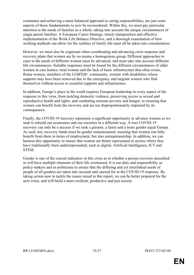commutes and achieving a more balanced approach to caring responsibilities, are just some aspects of those fundamentals to now be reconsidered. Within this, we must pay particular attention to the needs of families as a whole, taking into account the unique circumstances of single parent families. A European Carers Strategy, timely transposition and effective implementation of the Work-Life Balance Directive, and a thorough examination of how working methods can allow for the realities of family life must all be taken into consideration.

However, we must also be cognisant when coordinating and advancing crisis response and recovery plans that women are by no means a homogenous group. Different approaches to cater to the needs of different women must be advanced, and must take into account different life circumstances. Suitable responses must be found for the different circumstances of older women in care homes, rural women and the lack of basic infrastructure that often exists, Roma women, members of the LGBTQI+ community, women with disabilities whose supports may have been removed due to the emergency and migrant women who find themselves without access to essential supports and infrastructure.

In addition, Europe's place in the world requires European leadership in every aspect of the response to this virus, from tackling domestic violence, preserving access to sexual and reproductive health and rights, and combating extreme poverty and hunger, to ensuring that women can benefit from the recovery and are not disproportionately impacted by its consequences.

Finally, the COVID-19 recovery represents a significant opportunity to advance women as we seek to rebuild our economies and our societies in a different way. A true COVID-19 recovery can only be a success if we seek a greener, a fairer and a more gender equal Europe. As such, key recovery funds must be gender mainstreamed, ensuring that women can fully benefit from them in terms of employment, but also entrepreneurship. In addition, we can harness this opportunity to ensure that women are better represented in sectors where they have traditionally been underrepresented, such as digital, Artificial Intelligence, ICT and **STEM** 

Gender is one of the crucial indicators in this crisis as to whether a person recovers unscathed or will have multiple elements of their life overturned. It is our duty and responsibility as policy-makers and as politicians to ensure that the differing and yet interlinked needs of people of all genders are taken into account and catered for in the COVID-19 response. By taking action now to tackle the issues raised in this report, we can be better prepared for the next crisis, and will build a more resilient, productive and just society.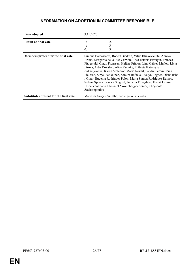### <span id="page-26-0"></span>**INFORMATION ON ADOPTION IN COMMITTEE RESPONSIBLE**

| Date adopted                           | 9.11.2020                                                                                                                                                                                                                                                                                                                                                                                                                                                                                                                                                                                                                                       |
|----------------------------------------|-------------------------------------------------------------------------------------------------------------------------------------------------------------------------------------------------------------------------------------------------------------------------------------------------------------------------------------------------------------------------------------------------------------------------------------------------------------------------------------------------------------------------------------------------------------------------------------------------------------------------------------------------|
| <b>Result of final vote</b>            | 27<br>$+:$<br>$\theta$ :<br>3                                                                                                                                                                                                                                                                                                                                                                                                                                                                                                                                                                                                                   |
| Members present for the final vote     | Simona Baldassarre, Robert Biedroń, Vilija Blinkevičiūtė, Annika<br>Bruna, Margarita de la Pisa Carrión, Rosa Estaràs Ferragut, Frances<br>Fitzgerald, Cindy Franssen, Heléne Fritzon, Lina Gálvez Muñoz, Lívia<br>Járóka, Arba Kokalari, Alice Kuhnke, Elżbieta Katarzyna<br>Łukacijewska, Karen Melchior, Maria Noichl, Sandra Pereira, Pina<br>Picierno, Sirpa Pietikäinen, Samira Rafaela, Evelyn Regner, Diana Riba<br>i Giner, Eugenia Rodríguez Palop, María Soraya Rodríguez Ramos,<br>Sylwia Spurek, Jessica Stegrud, Isabella Tovaglieri, Ernest Urtasun,<br>Hilde Vautmans, Elissavet Vozemberg-Vrionidi, Chrysoula<br>Zacharopoulou |
| Substitutes present for the final vote | Maria da Graca Carvalho, Jadwiga Wiśniewska                                                                                                                                                                                                                                                                                                                                                                                                                                                                                                                                                                                                     |